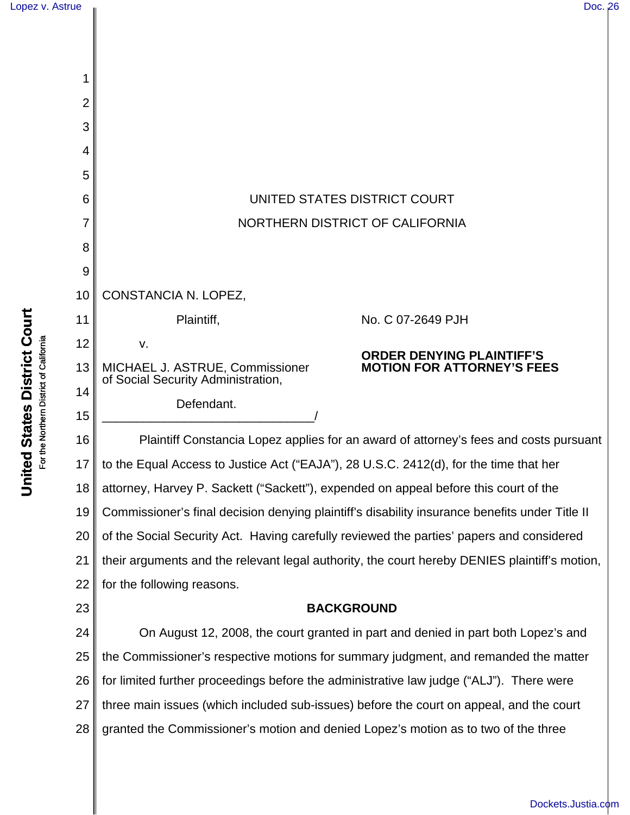| Lopez v. Astrue                     |    | Doc. 26                                                                                                    |
|-------------------------------------|----|------------------------------------------------------------------------------------------------------------|
|                                     |    |                                                                                                            |
| <b>States District Court</b>        |    |                                                                                                            |
|                                     |    |                                                                                                            |
|                                     | 2  |                                                                                                            |
|                                     | 3  |                                                                                                            |
|                                     | 4  |                                                                                                            |
|                                     | 5  |                                                                                                            |
|                                     | 6  | UNITED STATES DISTRICT COURT                                                                               |
|                                     | 7  | NORTHERN DISTRICT OF CALIFORNIA                                                                            |
|                                     | 8  |                                                                                                            |
|                                     | 9  |                                                                                                            |
|                                     | 10 | CONSTANCIA N. LOPEZ,                                                                                       |
|                                     | 11 | Plaintiff,<br>No. C 07-2649 PJH                                                                            |
|                                     | 12 | v.<br><b>ORDER DENYING PLAINTIFF'S</b>                                                                     |
| the Northern District of California | 13 | <b>MOTION FOR ATTORNEY'S FEES</b><br>MICHAEL J. ASTRUE, Commissioner<br>of Social Security Administration, |
|                                     | 14 | Defendant.                                                                                                 |
|                                     | 15 |                                                                                                            |
|                                     | 16 | Plaintiff Constancia Lopez applies for an award of attorney's fees and costs pursuant                      |
| United<br>요                         | 17 | to the Equal Access to Justice Act ("EAJA"), 28 U.S.C. 2412(d), for the time that her                      |
|                                     | 18 | attorney, Harvey P. Sackett ("Sackett"), expended on appeal before this court of the                       |
|                                     | 19 | Commissioner's final decision denying plaintiff's disability insurance benefits under Title II             |
|                                     | 20 | of the Social Security Act. Having carefully reviewed the parties' papers and considered                   |
|                                     | 21 | their arguments and the relevant legal authority, the court hereby DENIES plaintiff's motion,              |
|                                     | 22 | for the following reasons.                                                                                 |
|                                     | 23 | <b>BACKGROUND</b>                                                                                          |
|                                     | 24 | On August 12, 2008, the court granted in part and denied in part both Lopez's and                          |
|                                     | 25 | the Commissioner's respective motions for summary judgment, and remanded the matter                        |
|                                     | 26 | for limited further proceedings before the administrative law judge ("ALJ"). There were                    |
|                                     | 27 | three main issues (which included sub-issues) before the court on appeal, and the court                    |
|                                     | 28 | granted the Commissioner's motion and denied Lopez's motion as to two of the three                         |
|                                     |    |                                                                                                            |
|                                     |    |                                                                                                            |

[Dockets.Justia.com](http://dockets.justia.com/)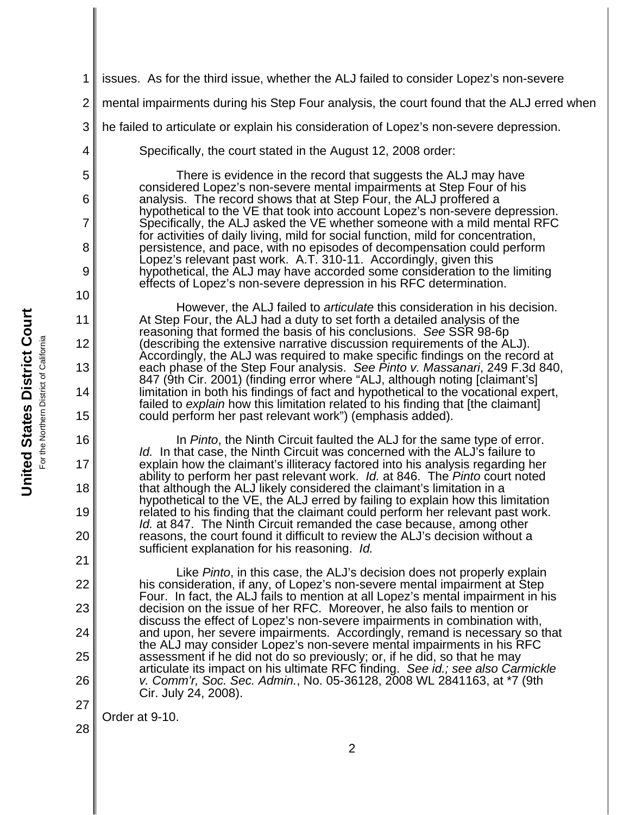**United States District Court United States District Court** For the Northern District of California the Northern District of California

1 2 3 4 5 6 7 8 9 10 11 12 13 14 15 16 17 18 19 20 21 22 23 24 25 26 27 28 2 issues. As for the third issue, whether the ALJ failed to consider Lopez's non-severe mental impairments during his Step Four analysis, the court found that the ALJ erred when he failed to articulate or explain his consideration of Lopez's non-severe depression. Specifically, the court stated in the August 12, 2008 order: There is evidence in the record that suggests the ALJ may have considered Lopez's non-severe mental impairments at Step Four of his analysis. The record shows that at Step Four, the ALJ proffered a hypothetical to the VE that took into account Lopez's non-severe depression. Specifically, the ALJ asked the VE whether someone with a mild mental RFC for activities of daily living, mild for social function, mild for concentration, persistence, and pace, with no episodes of decompensation could perform Lopez's relevant past work. A.T. 310-11. Accordingly, given this hypothetical, the ALJ may have accorded some consideration to the limiting effects of Lopez's non-severe depression in his RFC determination. However, the ALJ failed to *articulate* this consideration in his decision. At Step Four, the ALJ had a duty to set forth a detailed analysis of the reasoning that formed the basis of his conclusions. *See* SSR 98-6p (describing the extensive narrative discussion requirements of the ALJ). Accordingly, the ALJ was required to make specific findings on the record at each phase of the Step Four analysis. *See Pinto v. Massanari*, 249 F.3d 840, 847 (9th Cir. 2001) (finding error where "ALJ, although noting [claimant's] limitation in both his findings of fact and hypothetical to the vocational expert, failed to *explain* how this limitation related to his finding that [the claimant] could perform her past relevant work") (emphasis added). In *Pinto*, the Ninth Circuit faulted the ALJ for the same type of error. *Id.* In that case, the Ninth Circuit was concerned with the ALJ's failure to explain how the claimant's illiteracy factored into his analysis regarding her ability to perform her past relevant work. *Id.* at 846. The *Pinto* court noted that although the ALJ likely considered the claimant's limitation in a hypothetical to the VE, the ALJ erred by failing to explain how this limitation related to his finding that the claimant could perform her relevant past work. *Id.* at 847. The Ninth Circuit remanded the case because, among other reasons, the court found it difficult to review the ALJ's decision without a sufficient explanation for his reasoning. *Id.* Like *Pinto*, in this case, the ALJ's decision does not properly explain his consideration, if any, of Lopez's non-severe mental impairment at Step Four. In fact, the ALJ fails to mention at all Lopez's mental impairment in his decision on the issue of her RFC. Moreover, he also fails to mention or discuss the effect of Lopez's non-severe impairments in combination with, and upon, her severe impairments. Accordingly, remand is necessary so that the ALJ may consider Lopez's non-severe mental impairments in his RFC assessment if he did not do so previously; or, if he did, so that he may articulate its impact on his ultimate RFC finding. *See id.; see also Carmickle v. Comm'r, Soc. Sec. Admin.*, No. 05-36128, 2008 WL 2841163, at \*7 (9th Cir. July 24, 2008). Order at 9-10.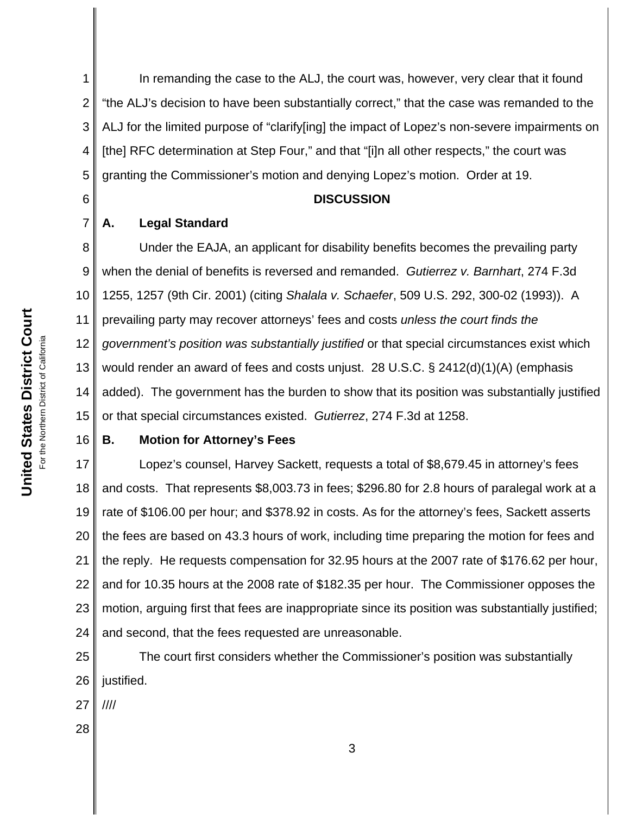1 2 3 4 5 In remanding the case to the ALJ, the court was, however, very clear that it found "the ALJ's decision to have been substantially correct," that the case was remanded to the ALJ for the limited purpose of "clarify[ing] the impact of Lopez's non-severe impairments on [the] RFC determination at Step Four," and that "[i]n all other respects," the court was granting the Commissioner's motion and denying Lopez's motion. Order at 19.

6 7

## **DISCUSSION**

## **A. Legal Standard**

8 9 10 11 12 13 14 15 Under the EAJA, an applicant for disability benefits becomes the prevailing party when the denial of benefits is reversed and remanded. *Gutierrez v. Barnhart*, 274 F.3d 1255, 1257 (9th Cir. 2001) (citing *Shalala v. Schaefer*, 509 U.S. 292, 300-02 (1993)). A prevailing party may recover attorneys' fees and costs *unless the court finds the government's position was substantially justified* or that special circumstances exist which would render an award of fees and costs unjust. 28 U.S.C. § 2412(d)(1)(A) (emphasis added). The government has the burden to show that its position was substantially justified or that special circumstances existed. *Gutierrez*, 274 F.3d at 1258.

#### 16

#### **B. Motion for Attorney's Fees**

17 18 19 20 21 22 23 24 Lopez's counsel, Harvey Sackett, requests a total of \$8,679.45 in attorney's fees and costs. That represents \$8,003.73 in fees; \$296.80 for 2.8 hours of paralegal work at a rate of \$106.00 per hour; and \$378.92 in costs. As for the attorney's fees, Sackett asserts the fees are based on 43.3 hours of work, including time preparing the motion for fees and the reply. He requests compensation for 32.95 hours at the 2007 rate of \$176.62 per hour, and for 10.35 hours at the 2008 rate of \$182.35 per hour. The Commissioner opposes the motion, arguing first that fees are inappropriate since its position was substantially justified; and second, that the fees requested are unreasonable.

25 26 The court first considers whether the Commissioner's position was substantially justified.

27 ////

28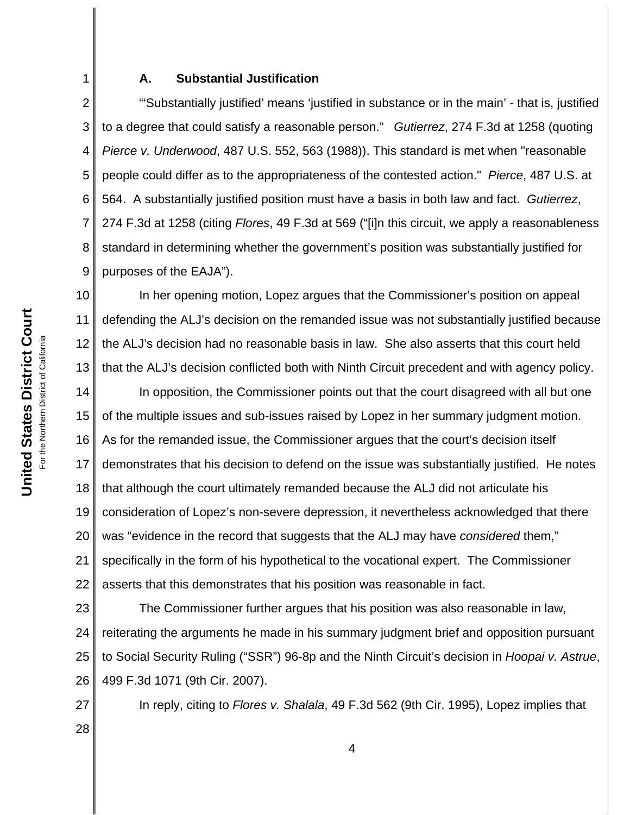#### **A. Substantial Justification**

2 3 4 5 6 7 8 9 "'Substantially justified' means 'justified in substance or in the main' - that is, justified to a degree that could satisfy a reasonable person." *Gutierrez*, 274 F.3d at 1258 (quoting *Pierce v. Underwood*, 487 U.S. 552, 563 (1988)). This standard is met when "reasonable people could differ as to the appropriateness of the contested action." *Pierce*, 487 U.S. at 564. A substantially justified position must have a basis in both law and fact. *Gutierrez*, 274 F.3d at 1258 (citing *Flores*, 49 F.3d at 569 ("[i]n this circuit, we apply a reasonableness standard in determining whether the government's position was substantially justified for purposes of the EAJA").

10 11 12 13 14 15 16 17 18 19 20 21 22 In her opening motion, Lopez argues that the Commissioner's position on appeal defending the ALJ's decision on the remanded issue was not substantially justified because the ALJ's decision had no reasonable basis in law. She also asserts that this court held that the ALJ's decision conflicted both with Ninth Circuit precedent and with agency policy. In opposition, the Commissioner points out that the court disagreed with all but one of the multiple issues and sub-issues raised by Lopez in her summary judgment motion. As for the remanded issue, the Commissioner argues that the court's decision itself demonstrates that his decision to defend on the issue was substantially justified. He notes that although the court ultimately remanded because the ALJ did not articulate his consideration of Lopez's non-severe depression, it nevertheless acknowledged that there was "evidence in the record that suggests that the ALJ may have *considered* them," specifically in the form of his hypothetical to the vocational expert. The Commissioner asserts that this demonstrates that his position was reasonable in fact.

23 24 25 26 The Commissioner further argues that his position was also reasonable in law, reiterating the arguments he made in his summary judgment brief and opposition pursuant to Social Security Ruling ("SSR") 96-8p and the Ninth Circuit's decision in *Hoopai v. Astrue*, 499 F.3d 1071 (9th Cir. 2007).

In reply, citing to *Flores v. Shalala*, 49 F.3d 562 (9th Cir. 1995), Lopez implies that

27

28

1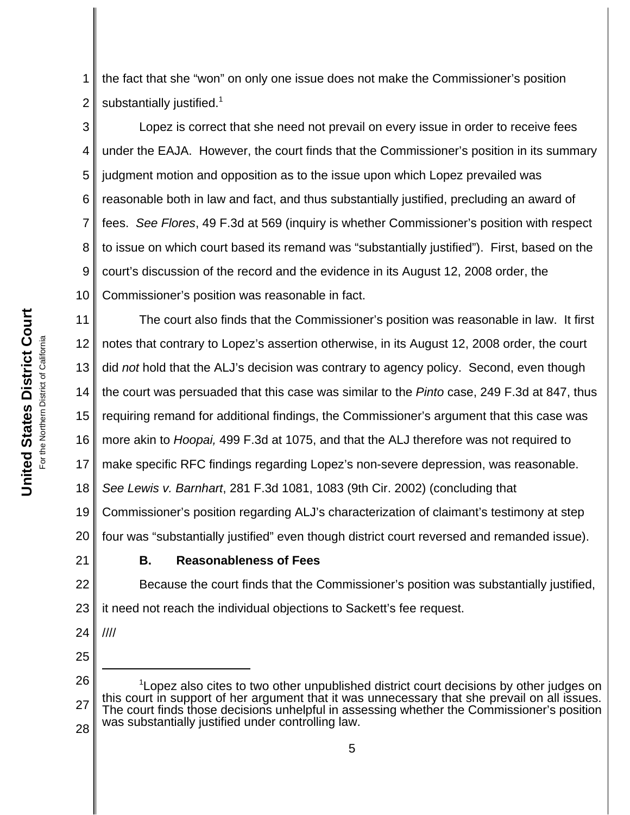1 2 the fact that she "won" on only one issue does not make the Commissioner's position substantially justified. $1$ 

3 4 5 6 7 8 9 10 Lopez is correct that she need not prevail on every issue in order to receive fees under the EAJA. However, the court finds that the Commissioner's position in its summary judgment motion and opposition as to the issue upon which Lopez prevailed was reasonable both in law and fact, and thus substantially justified, precluding an award of fees. *See Flores*, 49 F.3d at 569 (inquiry is whether Commissioner's position with respect to issue on which court based its remand was "substantially justified"). First, based on the court's discussion of the record and the evidence in its August 12, 2008 order, the Commissioner's position was reasonable in fact.

11 12 13 14 15 16 17 18 19 20 The court also finds that the Commissioner's position was reasonable in law. It first notes that contrary to Lopez's assertion otherwise, in its August 12, 2008 order, the court did *not* hold that the ALJ's decision was contrary to agency policy. Second, even though the court was persuaded that this case was similar to the *Pinto* case, 249 F.3d at 847, thus requiring remand for additional findings, the Commissioner's argument that this case was more akin to *Hoopai,* 499 F.3d at 1075, and that the ALJ therefore was not required to make specific RFC findings regarding Lopez's non-severe depression, was reasonable. *See Lewis v. Barnhart*, 281 F.3d 1081, 1083 (9th Cir. 2002) (concluding that Commissioner's position regarding ALJ's characterization of claimant's testimony at step four was "substantially justified" even though district court reversed and remanded issue).

21

# **B. Reasonableness of Fees**

22 23 Because the court finds that the Commissioner's position was substantially justified, it need not reach the individual objections to Sackett's fee request.

- 24 ////
- 25
- 26 27 28 <sup>1</sup> Lopez also cites to two other unpublished district court decisions by other judges on this court in support of her argument that it was unnecessary that she prevail on all issues. The court finds those decisions unhelpful in assessing whether the Commissioner's position was substantially justified under controlling law.

5